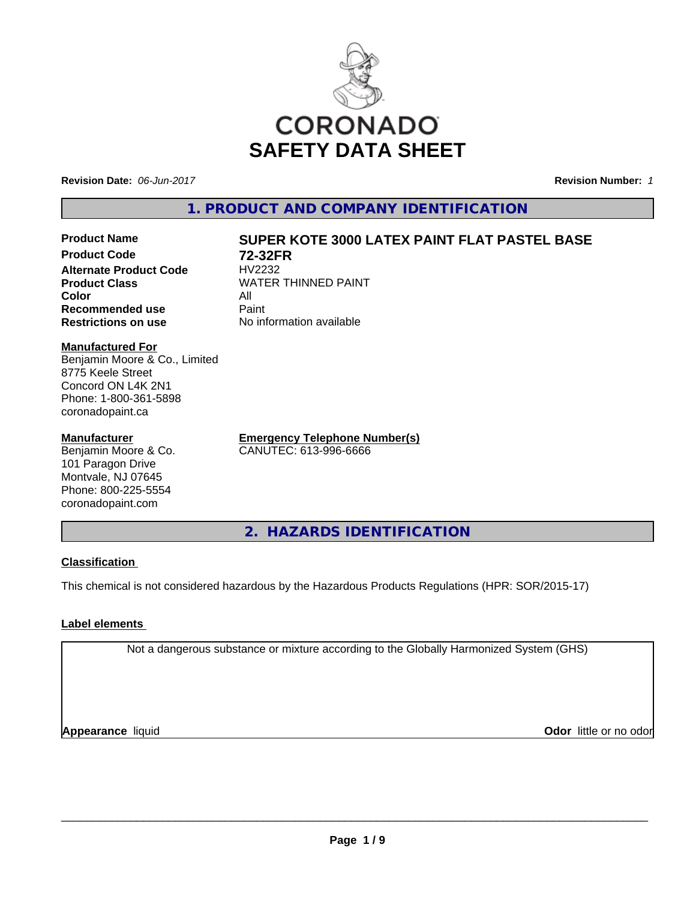

**Revision Date:** *06-Jun-2017* **Revision Number:** *1*

**1. PRODUCT AND COMPANY IDENTIFICATION**

**Product Code 72-32FR**<br>**Alternate Product Code HV2232 Alternate Product Code**<br>Product Class **Color** All All<br>**Recommended use** Paint **Recommended use Restrictions on use** No information available

# **Product Name SUPER KOTE 3000 LATEX PAINT FLAT PASTEL BASE**

**WATER THINNED PAINT** 

**Manufactured For** Benjamin Moore & Co., Limited 8775 Keele Street Concord ON L4K 2N1 Phone: 1-800-361-5898

## **Manufacturer**

coronadopaint.ca

Benjamin Moore & Co. 101 Paragon Drive Montvale, NJ 07645 Phone: 800-225-5554 coronadopaint.com

**Emergency Telephone Number(s)** CANUTEC: 613-996-6666

**2. HAZARDS IDENTIFICATION**

# **Classification**

This chemical is not considered hazardous by the Hazardous Products Regulations (HPR: SOR/2015-17)

# **Label elements**

Not a dangerous substance or mixture according to the Globally Harmonized System (GHS)

**Appearance** liquid

**Odor** little or no odor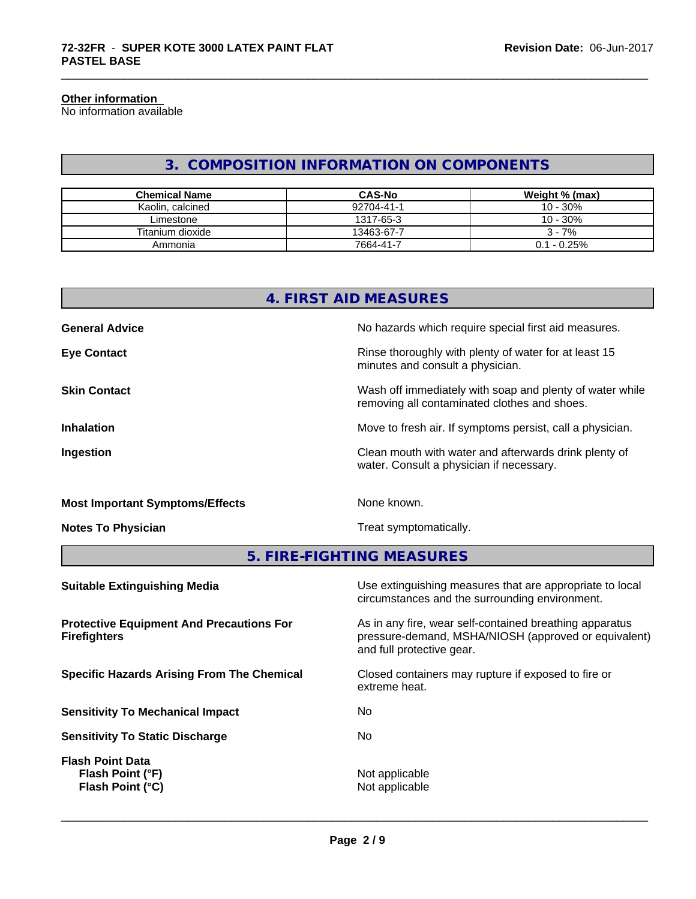#### **Other information**

No information available

# **3. COMPOSITION INFORMATION ON COMPONENTS**

\_\_\_\_\_\_\_\_\_\_\_\_\_\_\_\_\_\_\_\_\_\_\_\_\_\_\_\_\_\_\_\_\_\_\_\_\_\_\_\_\_\_\_\_\_\_\_\_\_\_\_\_\_\_\_\_\_\_\_\_\_\_\_\_\_\_\_\_\_\_\_\_\_\_\_\_\_\_\_\_\_\_\_\_\_\_\_\_\_\_\_\_\_

| <b>Chemical Name</b> | <b>CAS-No</b> | Weight % (max) |
|----------------------|---------------|----------------|
| Kaolin, calcined     | 92704-41-1    | 10 - 30%       |
| Limestone            | 1317-65-3     | 10 - 30%       |
| Titanium dioxide     | 13463-67-7    | $3 - 7%$       |
| Ammonia              | 7664-41-7     | $0.1 - 0.25%$  |

|                                        | 4. FIRST AID MEASURES                                                                                    |
|----------------------------------------|----------------------------------------------------------------------------------------------------------|
| <b>General Advice</b>                  | No hazards which require special first aid measures.                                                     |
| <b>Eye Contact</b>                     | Rinse thoroughly with plenty of water for at least 15<br>minutes and consult a physician.                |
| <b>Skin Contact</b>                    | Wash off immediately with soap and plenty of water while<br>removing all contaminated clothes and shoes. |
| <b>Inhalation</b>                      | Move to fresh air. If symptoms persist, call a physician.                                                |
| Ingestion                              | Clean mouth with water and afterwards drink plenty of<br>water. Consult a physician if necessary.        |
| <b>Most Important Symptoms/Effects</b> | None known.                                                                                              |
| <b>Notes To Physician</b>              | Treat symptomatically.                                                                                   |
|                                        | FIDE FIQUEINQ MEMOUDER                                                                                   |

**5. FIRE-FIGHTING MEASURES**

| Use extinguishing measures that are appropriate to local<br>circumstances and the surrounding environment.                                   |
|----------------------------------------------------------------------------------------------------------------------------------------------|
| As in any fire, wear self-contained breathing apparatus<br>pressure-demand, MSHA/NIOSH (approved or equivalent)<br>and full protective gear. |
| Closed containers may rupture if exposed to fire or<br>extreme heat.                                                                         |
| No.                                                                                                                                          |
| No.                                                                                                                                          |
| Not applicable<br>Not applicable                                                                                                             |
|                                                                                                                                              |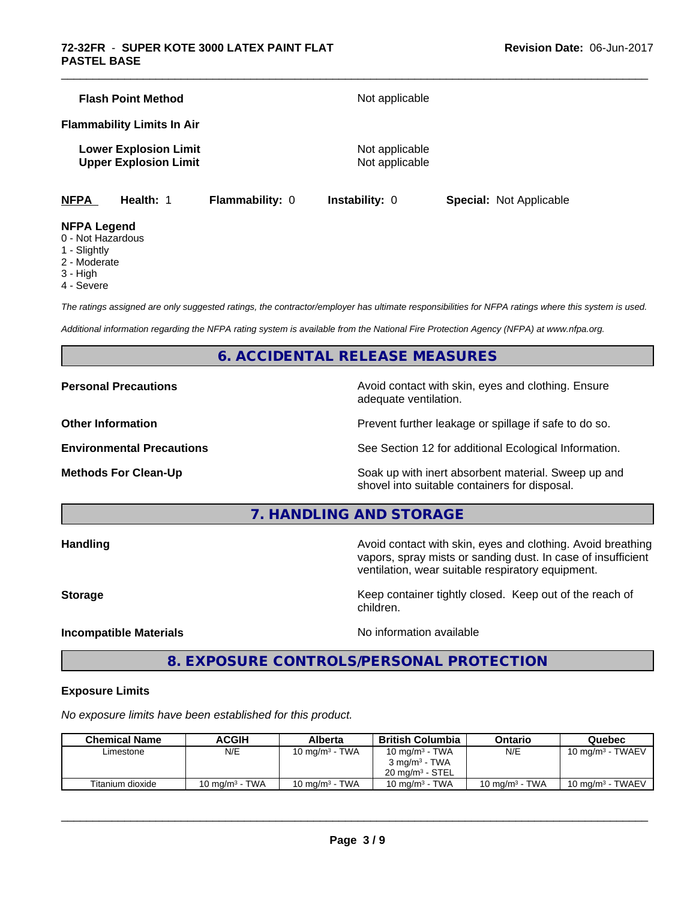|             | <b>Flash Point Method</b><br><b>Flammability Limits In Air</b> |                        | Not applicable                   |                                |
|-------------|----------------------------------------------------------------|------------------------|----------------------------------|--------------------------------|
|             | <b>Lower Explosion Limit</b><br><b>Upper Explosion Limit</b>   |                        | Not applicable<br>Not applicable |                                |
| <b>NFPA</b> | Health: 1                                                      | <b>Flammability: 0</b> | <b>Instability: 0</b>            | <b>Special: Not Applicable</b> |

\_\_\_\_\_\_\_\_\_\_\_\_\_\_\_\_\_\_\_\_\_\_\_\_\_\_\_\_\_\_\_\_\_\_\_\_\_\_\_\_\_\_\_\_\_\_\_\_\_\_\_\_\_\_\_\_\_\_\_\_\_\_\_\_\_\_\_\_\_\_\_\_\_\_\_\_\_\_\_\_\_\_\_\_\_\_\_\_\_\_\_\_\_

#### **NFPA Legend**

- 0 Not Hazardous
- 1 Slightly
- 2 Moderate
- 3 High
- 4 Severe

*The ratings assigned are only suggested ratings, the contractor/employer has ultimate responsibilities for NFPA ratings where this system is used.*

*Additional information regarding the NFPA rating system is available from the National Fire Protection Agency (NFPA) at www.nfpa.org.*

# **6. ACCIDENTAL RELEASE MEASURES**

**Personal Precautions Avoid contact with skin, eyes and clothing. Ensure** Avoid contact with skin, eyes and clothing. Ensure adequate ventilation.

**Other Information Discription Prevent further leakage or spillage if safe to do so.** 

**Environmental Precautions** See Section 12 for additional Ecological Information.

**Methods For Clean-Up Example 20 All 20 All 20 All 20 Soak** up with inert absorbent material. Sweep up and shovel into suitable containers for disposal.

**7. HANDLING AND STORAGE**

**Handling Handling Avoid contact with skin, eyes and clothing. Avoid breathing** vapors, spray mists or sanding dust. In case of insufficient ventilation, wear suitable respiratory equipment.

**Storage Keep container tightly closed. Keep out of the reach of Keep** container tightly closed. Keep out of the reach of

**Incompatible Materials Incompatible Materials No information available** 

 $\overline{\phantom{a}}$  ,  $\overline{\phantom{a}}$  ,  $\overline{\phantom{a}}$  ,  $\overline{\phantom{a}}$  ,  $\overline{\phantom{a}}$  ,  $\overline{\phantom{a}}$  ,  $\overline{\phantom{a}}$  ,  $\overline{\phantom{a}}$  ,  $\overline{\phantom{a}}$  ,  $\overline{\phantom{a}}$  ,  $\overline{\phantom{a}}$  ,  $\overline{\phantom{a}}$  ,  $\overline{\phantom{a}}$  ,  $\overline{\phantom{a}}$  ,  $\overline{\phantom{a}}$  ,  $\overline{\phantom{a}}$ 

# **8. EXPOSURE CONTROLS/PERSONAL PROTECTION**

children.

#### **Exposure Limits**

*No exposure limits have been established for this product.*

| <b>Chemical Name</b> | ACGIH             | Alberta           | <b>British Columbia</b>    | Ontario           | Quebec                      |
|----------------------|-------------------|-------------------|----------------------------|-------------------|-----------------------------|
| Limestone            | N/E               | 10 mg/m $3$ - TWA | 10 mg/m $3$ - TWA          | N/E               | $10 \text{ mg/m}^3$ - TWAEV |
|                      |                   |                   | $3 \text{ ma/m}^3$ - TWA   |                   |                             |
|                      |                   |                   | $20 \text{ ma/m}^3$ - STEL |                   |                             |
| Titanium dioxide     | 10 mg/m $3$ - TWA | 10 mg/m $3$ - TWA | 10 mg/m $3$ - TWA          | 10 mg/m $3$ - TWA | 10 mg/m $3$ - TWAEV         |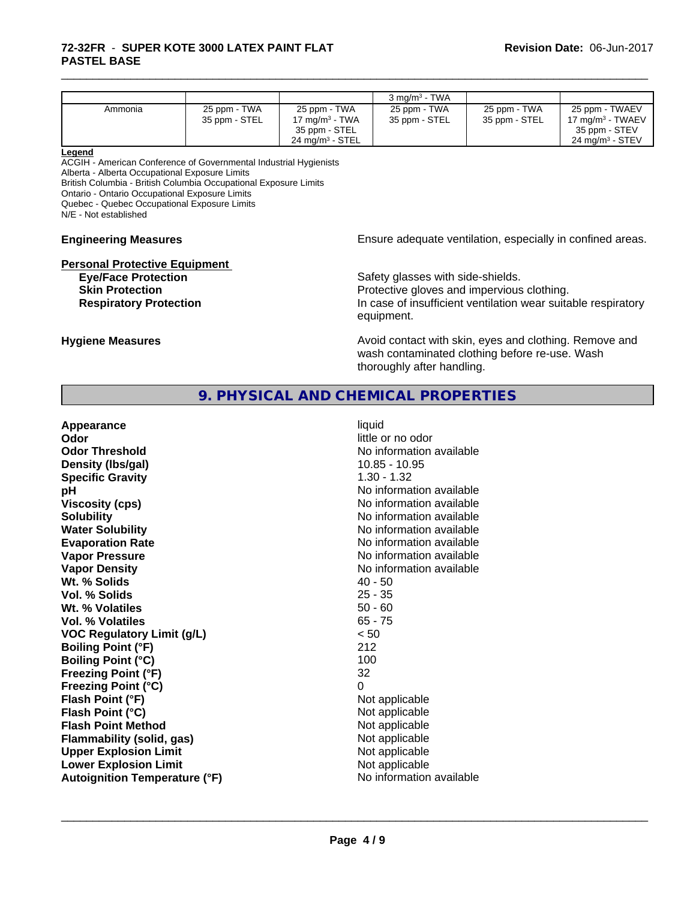## **72-32FR** - **SUPER KOTE 3000 LATEX PAINT FLAT PASTEL BASE**

|         |               |                            | $3 \text{ ma/m}^3$ - TWA |               |                              |
|---------|---------------|----------------------------|--------------------------|---------------|------------------------------|
| Ammonia | 25 ppm - TWA  | 25 ppm - TWA               | 25 ppm - TWA             | 25 ppm - TWA  | 25 ppm - TWAEV               |
|         | 35 ppm - STEL | 17 mg/m $3$ - TWA          | 35 ppm - STEL            | 35 ppm - STEL | 17 mg/m <sup>3</sup> - TWAEV |
|         |               | 35 ppm - STEL              |                          |               | 35 ppm - STEV                |
|         |               | $24 \text{ ma/m}^3$ - STEL |                          |               | $24 \text{ ma/m}^3$ - STEV   |

\_\_\_\_\_\_\_\_\_\_\_\_\_\_\_\_\_\_\_\_\_\_\_\_\_\_\_\_\_\_\_\_\_\_\_\_\_\_\_\_\_\_\_\_\_\_\_\_\_\_\_\_\_\_\_\_\_\_\_\_\_\_\_\_\_\_\_\_\_\_\_\_\_\_\_\_\_\_\_\_\_\_\_\_\_\_\_\_\_\_\_\_\_

#### **Legend**

ACGIH - American Conference of Governmental Industrial Hygienists Alberta - Alberta Occupational Exposure Limits British Columbia - British Columbia Occupational Exposure Limits

Ontario - Ontario Occupational Exposure Limits

Quebec - Quebec Occupational Exposure Limits

N/E - Not established

# **Personal Protective Equipment**<br> **Eve/Face Protection**

**Engineering Measures Ensure** Ensure adequate ventilation, especially in confined areas.

Safety glasses with side-shields. **Skin Protection Protection Protective gloves and impervious clothing. Respiratory Protection In case of insufficient ventilation wear suitable respiratory** equipment.

**Hygiene Measures Avoid contact with skin, eyes and clothing. Remove and Avoid contact with skin, eyes and clothing. Remove and Avoid contact with skin, eyes and clothing. Remove and** wash contaminated clothing before re-use. Wash thoroughly after handling.

# **9. PHYSICAL AND CHEMICAL PROPERTIES**

| Appearance                           | liquid                   |
|--------------------------------------|--------------------------|
| Odor                                 | little or no odor        |
| <b>Odor Threshold</b>                | No information available |
| Density (Ibs/gal)                    | 10.85 - 10.95            |
| <b>Specific Gravity</b>              | $1.30 - 1.32$            |
| рH                                   | No information available |
| <b>Viscosity (cps)</b>               | No information available |
| <b>Solubility</b>                    | No information available |
| <b>Water Solubility</b>              | No information available |
| <b>Evaporation Rate</b>              | No information available |
| <b>Vapor Pressure</b>                | No information available |
| <b>Vapor Density</b>                 | No information available |
| Wt. % Solids                         | $40 - 50$                |
| Vol. % Solids                        | $25 - 35$                |
| Wt. % Volatiles                      | $50 - 60$                |
| Vol. % Volatiles                     | $65 - 75$                |
| <b>VOC Regulatory Limit (g/L)</b>    | < 50                     |
| <b>Boiling Point (°F)</b>            | 212                      |
| <b>Boiling Point (°C)</b>            | 100                      |
| <b>Freezing Point (°F)</b>           | 32                       |
| <b>Freezing Point (°C)</b>           | 0                        |
| Flash Point (°F)                     | Not applicable           |
| Flash Point (°C)                     | Not applicable           |
| <b>Flash Point Method</b>            | Not applicable           |
| <b>Flammability (solid, gas)</b>     | Not applicable           |
| <b>Upper Explosion Limit</b>         | Not applicable           |
| <b>Lower Explosion Limit</b>         | Not applicable           |
| <b>Autoignition Temperature (°F)</b> | No information available |
|                                      |                          |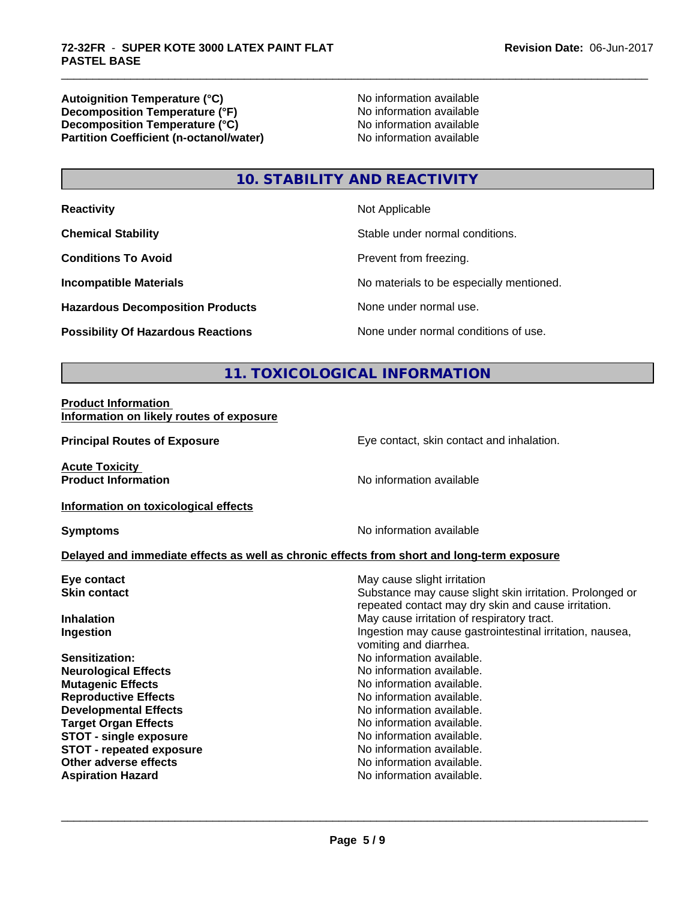Autoignition Temperature (°C)<br>
Decomposition Temperature (°F)<br>
No information available **Decomposition Temperature (°F)**<br> **Decomposition Temperature (°C)**<br>
No information available **Decomposition Temperature (°C)**<br> **Partition Coefficient (n-octanol/water)** No information available **Partition Coefficient (n-octanol/water)** 

\_\_\_\_\_\_\_\_\_\_\_\_\_\_\_\_\_\_\_\_\_\_\_\_\_\_\_\_\_\_\_\_\_\_\_\_\_\_\_\_\_\_\_\_\_\_\_\_\_\_\_\_\_\_\_\_\_\_\_\_\_\_\_\_\_\_\_\_\_\_\_\_\_\_\_\_\_\_\_\_\_\_\_\_\_\_\_\_\_\_\_\_\_

# **10. STABILITY AND REACTIVITY**

| <b>Reactivity</b>                         | Not Applicable                           |
|-------------------------------------------|------------------------------------------|
| <b>Chemical Stability</b>                 | Stable under normal conditions.          |
| <b>Conditions To Avoid</b>                | Prevent from freezing.                   |
| <b>Incompatible Materials</b>             | No materials to be especially mentioned. |
| <b>Hazardous Decomposition Products</b>   | None under normal use.                   |
| <b>Possibility Of Hazardous Reactions</b> | None under normal conditions of use.     |

# **11. TOXICOLOGICAL INFORMATION**

#### **Product Information Information on likely routes of exposure**

**Principal Routes of Exposure Exposure** Eye contact, skin contact and inhalation.

**Acute Toxicity** 

**Product Information** No information available

**Information on toxicological effects**

**Symptoms** No information available

 $\overline{\phantom{a}}$  ,  $\overline{\phantom{a}}$  ,  $\overline{\phantom{a}}$  ,  $\overline{\phantom{a}}$  ,  $\overline{\phantom{a}}$  ,  $\overline{\phantom{a}}$  ,  $\overline{\phantom{a}}$  ,  $\overline{\phantom{a}}$  ,  $\overline{\phantom{a}}$  ,  $\overline{\phantom{a}}$  ,  $\overline{\phantom{a}}$  ,  $\overline{\phantom{a}}$  ,  $\overline{\phantom{a}}$  ,  $\overline{\phantom{a}}$  ,  $\overline{\phantom{a}}$  ,  $\overline{\phantom{a}}$ 

#### **Delayed and immediate effects as well as chronic effects from short and long-term exposure**

| Eye contact                     | May cause slight irritation                                                                                     |  |
|---------------------------------|-----------------------------------------------------------------------------------------------------------------|--|
| <b>Skin contact</b>             | Substance may cause slight skin irritation. Prolonged or<br>repeated contact may dry skin and cause irritation. |  |
| <b>Inhalation</b>               | May cause irritation of respiratory tract.                                                                      |  |
| Ingestion                       | Ingestion may cause gastrointestinal irritation, nausea,<br>vomiting and diarrhea.                              |  |
| Sensitization:                  | No information available.                                                                                       |  |
| <b>Neurological Effects</b>     | No information available.                                                                                       |  |
| <b>Mutagenic Effects</b>        | No information available.                                                                                       |  |
| <b>Reproductive Effects</b>     | No information available.                                                                                       |  |
| <b>Developmental Effects</b>    | No information available.                                                                                       |  |
| <b>Target Organ Effects</b>     | No information available.                                                                                       |  |
| <b>STOT - single exposure</b>   | No information available.                                                                                       |  |
| <b>STOT - repeated exposure</b> | No information available.                                                                                       |  |
| Other adverse effects           | No information available.                                                                                       |  |
| <b>Aspiration Hazard</b>        | No information available.                                                                                       |  |
|                                 |                                                                                                                 |  |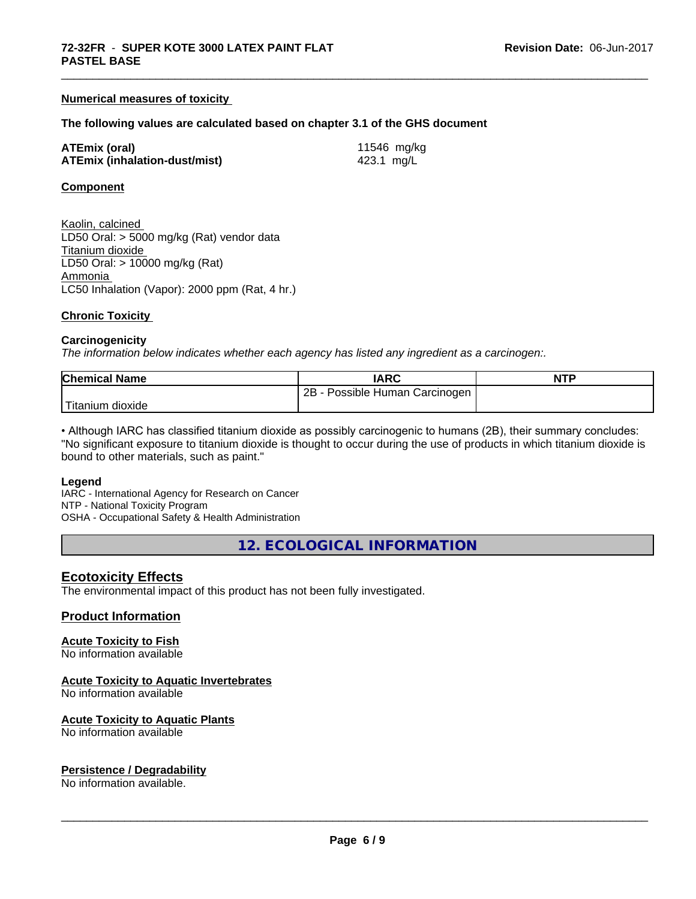#### **Numerical measures of toxicity**

#### **The following values are calculated based on chapter 3.1 of the GHS document**

**ATEmix (oral)** 11546 mg/kg **ATEmix (inhalation-dust/mist)** 423.1 mg/L

\_\_\_\_\_\_\_\_\_\_\_\_\_\_\_\_\_\_\_\_\_\_\_\_\_\_\_\_\_\_\_\_\_\_\_\_\_\_\_\_\_\_\_\_\_\_\_\_\_\_\_\_\_\_\_\_\_\_\_\_\_\_\_\_\_\_\_\_\_\_\_\_\_\_\_\_\_\_\_\_\_\_\_\_\_\_\_\_\_\_\_\_\_

#### **Component**

Kaolin, calcined LD50 Oral: > 5000 mg/kg (Rat) vendor data Titanium dioxide LD50 Oral: > 10000 mg/kg (Rat) Ammonia LC50 Inhalation (Vapor): 2000 ppm (Rat, 4 hr.)

#### **Chronic Toxicity**

#### **Carcinogenicity**

*The information below indicateswhether each agency has listed any ingredient as a carcinogen:.*

| <b>Chemical Name</b>           | <b>IARC</b>                                 | <b>NTP</b> |
|--------------------------------|---------------------------------------------|------------|
|                                | 2B<br><b>Possible Human</b><br>ı Carcinogen |            |
| ' ⊤u.<br>⊧dioxide<br>l itanıum |                                             |            |

• Although IARC has classified titanium dioxide as possibly carcinogenic to humans (2B), their summary concludes: "No significant exposure to titanium dioxide is thought to occur during the use of products in which titanium dioxide is bound to other materials, such as paint."

#### **Legend**

IARC - International Agency for Research on Cancer NTP - National Toxicity Program OSHA - Occupational Safety & Health Administration

**12. ECOLOGICAL INFORMATION**

# **Ecotoxicity Effects**

The environmental impact of this product has not been fully investigated.

#### **Product Information**

#### **Acute Toxicity to Fish**

No information available

#### **Acute Toxicity to Aquatic Invertebrates**

No information available

#### **Acute Toxicity to Aquatic Plants**

No information available

#### **Persistence / Degradability**

No information available.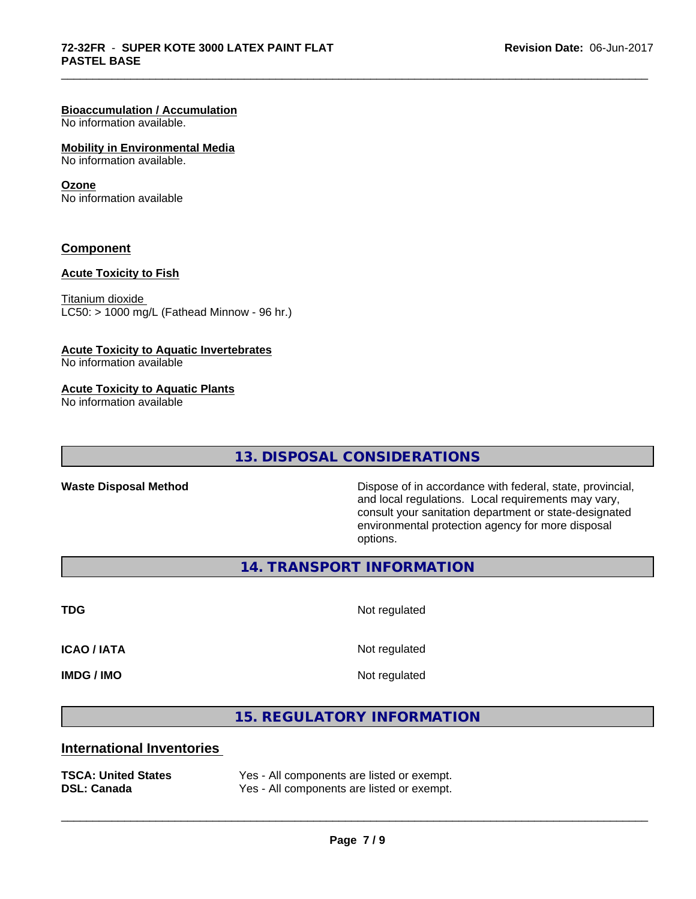#### **Bioaccumulation / Accumulation**

No information available.

#### **Mobility in Environmental Media**

No information available.

#### **Ozone**

No information available

## **Component**

## **Acute Toxicity to Fish**

Titanium dioxide  $LC50:$  > 1000 mg/L (Fathead Minnow - 96 hr.)

#### **Acute Toxicity to Aquatic Invertebrates**

No information available

#### **Acute Toxicity to Aquatic Plants**

No information available

# **13. DISPOSAL CONSIDERATIONS**

**Waste Disposal Method** Dispose of in accordance with federal, state, provincial, and local regulations. Local requirements may vary, consult your sanitation department or state-designated environmental protection agency for more disposal options.

**14. TRANSPORT INFORMATION**

**TDG** Not regulated

\_\_\_\_\_\_\_\_\_\_\_\_\_\_\_\_\_\_\_\_\_\_\_\_\_\_\_\_\_\_\_\_\_\_\_\_\_\_\_\_\_\_\_\_\_\_\_\_\_\_\_\_\_\_\_\_\_\_\_\_\_\_\_\_\_\_\_\_\_\_\_\_\_\_\_\_\_\_\_\_\_\_\_\_\_\_\_\_\_\_\_\_\_

**ICAO / IATA** Not regulated

**IMDG / IMO** Not regulated

listed or exempt. listed or exempt.

 $\overline{\phantom{a}}$  ,  $\overline{\phantom{a}}$  ,  $\overline{\phantom{a}}$  ,  $\overline{\phantom{a}}$  ,  $\overline{\phantom{a}}$  ,  $\overline{\phantom{a}}$  ,  $\overline{\phantom{a}}$  ,  $\overline{\phantom{a}}$  ,  $\overline{\phantom{a}}$  ,  $\overline{\phantom{a}}$  ,  $\overline{\phantom{a}}$  ,  $\overline{\phantom{a}}$  ,  $\overline{\phantom{a}}$  ,  $\overline{\phantom{a}}$  ,  $\overline{\phantom{a}}$  ,  $\overline{\phantom{a}}$ 

**15. REGULATORY INFORMATION**

# **International Inventories**

| <b>TSCA: United States</b> | Yes - All components are |
|----------------------------|--------------------------|
| <b>DSL: Canada</b>         | Yes - All components are |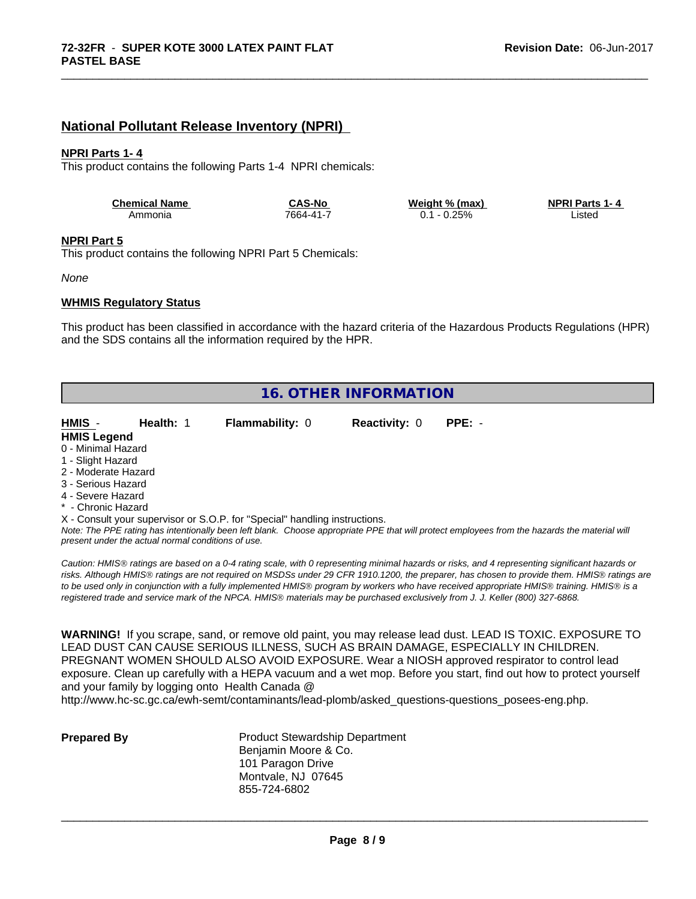# **National Pollutant Release Inventory (NPRI)**

#### **NPRI Parts 1- 4**

This product contains the following Parts 1-4 NPRI chemicals:

| <b>Chemical Name</b> | <b>CAS-No</b> | Weight % (max) | <b>NPRI Parts 1-4</b> |
|----------------------|---------------|----------------|-----------------------|
| Ammonia              | 7664-41-7     | 0.25%<br>υ.    | ∟isted                |

\_\_\_\_\_\_\_\_\_\_\_\_\_\_\_\_\_\_\_\_\_\_\_\_\_\_\_\_\_\_\_\_\_\_\_\_\_\_\_\_\_\_\_\_\_\_\_\_\_\_\_\_\_\_\_\_\_\_\_\_\_\_\_\_\_\_\_\_\_\_\_\_\_\_\_\_\_\_\_\_\_\_\_\_\_\_\_\_\_\_\_\_\_

#### **NPRI Part 5**

This product contains the following NPRI Part 5 Chemicals:

*None*

#### **WHMIS Regulatory Status**

This product has been classified in accordance with the hazard criteria of the Hazardous Products Regulations (HPR) and the SDS contains all the information required by the HPR.

| <b>16. OTHER INFORMATION</b> |                                                    |                                                                            |                      |                                                                                                                                               |
|------------------------------|----------------------------------------------------|----------------------------------------------------------------------------|----------------------|-----------------------------------------------------------------------------------------------------------------------------------------------|
| HMIS -                       | Health: 1                                          | <b>Flammability: 0</b>                                                     | <b>Reactivity: 0</b> | $PPE: -$                                                                                                                                      |
| <b>HMIS Legend</b>           |                                                    |                                                                            |                      |                                                                                                                                               |
| 0 - Minimal Hazard           |                                                    |                                                                            |                      |                                                                                                                                               |
| 1 - Slight Hazard            |                                                    |                                                                            |                      |                                                                                                                                               |
| 2 - Moderate Hazard          |                                                    |                                                                            |                      |                                                                                                                                               |
| 3 - Serious Hazard           |                                                    |                                                                            |                      |                                                                                                                                               |
| 4 - Severe Hazard            |                                                    |                                                                            |                      |                                                                                                                                               |
| * - Chronic Hazard           |                                                    |                                                                            |                      |                                                                                                                                               |
|                              |                                                    | X - Consult your supervisor or S.O.P. for "Special" handling instructions. |                      |                                                                                                                                               |
|                              | present under the actual normal conditions of use. |                                                                            |                      | Note: The PPE rating has intentionally been left blank. Choose appropriate PPE that will protect employees from the hazards the material will |

*Caution: HMISÒ ratings are based on a 0-4 rating scale, with 0 representing minimal hazards or risks, and 4 representing significant hazards or risks. Although HMISÒ ratings are not required on MSDSs under 29 CFR 1910.1200, the preparer, has chosen to provide them. HMISÒ ratings are to be used only in conjunction with a fully implemented HMISÒ program by workers who have received appropriate HMISÒ training. HMISÒ is a registered trade and service mark of the NPCA. HMISÒ materials may be purchased exclusively from J. J. Keller (800) 327-6868.*

**WARNING!** If you scrape, sand, or remove old paint, you may release lead dust. LEAD IS TOXIC. EXPOSURE TO LEAD DUST CAN CAUSE SERIOUS ILLNESS, SUCH AS BRAIN DAMAGE, ESPECIALLY IN CHILDREN. PREGNANT WOMEN SHOULD ALSO AVOID EXPOSURE.Wear a NIOSH approved respirator to control lead exposure. Clean up carefully with a HEPA vacuum and a wet mop. Before you start, find out how to protect yourself and your family by logging onto Health Canada @

http://www.hc-sc.gc.ca/ewh-semt/contaminants/lead-plomb/asked\_questions-questions\_posees-eng.php.

**Prepared By** Product Stewardship Department Benjamin Moore & Co. 101 Paragon Drive Montvale, NJ 07645 855-724-6802